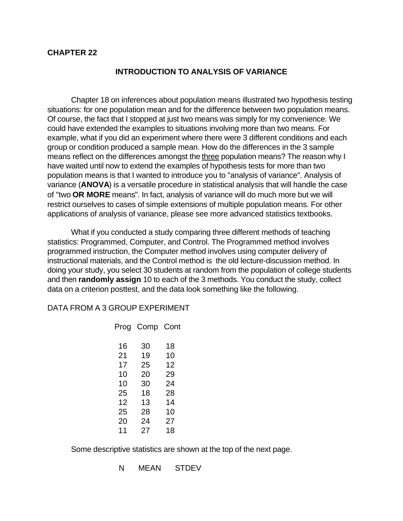## **CHAPTER 22**

## **INTRODUCTION TO ANALYSIS OF VARIANCE**

Chapter 18 on inferences about population means illustrated two hypothesis testing situations: for one population mean and for the difference between two population means. Of course, the fact that I stopped at just two means was simply for my convenience. We could have extended the examples to situations involving more than two means. For example, what if you did an experiment where there were 3 different conditions and each group or condition produced a sample mean. How do the differences in the 3 sample means reflect on the differences amongst the three population means? The reason why I have waited until now to extend the examples of hypothesis tests for more than two population means is that I wanted to introduce you to "analysis of variance". Analysis of variance (**ANOVA**) is a versatile procedure in statistical analysis that will handle the case of "two **OR MORE** means". In fact, analysis of variance will do much more but we will restrict ourselves to cases of simple extensions of multiple population means. For other applications of analysis of variance, please see more advanced statistics textbooks.

What if you conducted a study comparing three different methods of teaching statistics: Programmed, Computer, and Control. The Programmed method involves programmed instruction, the Computer method involves using computer delivery of instructional materials, and the Control method is the old lecture-discussion method. In doing your study, you select 30 students at random from the population of college students and then **randomly assign** 10 to each of the 3 methods. You conduct the study, collect data on a criterion posttest, and the data look something like the following.

## DATA FROM A 3 GROUP EXPERIMENT

|    | Prog Comp Cont |    |
|----|----------------|----|
| 16 | 30             | 18 |
| 21 | 19             | 10 |
| 17 | 25             | 12 |
| 10 | 20             | 29 |
| 10 | 30             | 24 |
| 25 | 18             | 28 |
| 12 | 13             | 14 |
| 25 | 28             | 10 |
| 20 | 24             | 27 |
| 11 | 27             | 18 |

Some descriptive statistics are shown at the top of the next page.

N MEAN STDEV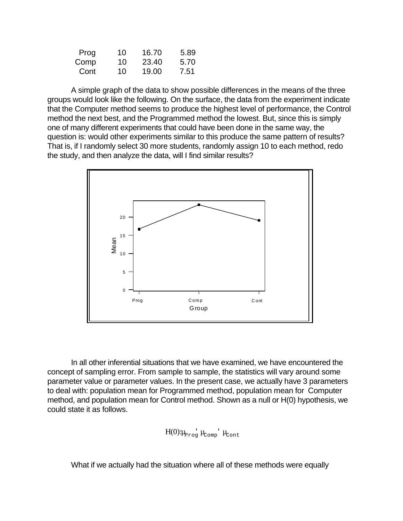| Prog | 10 | 16.70 | 5.89 |
|------|----|-------|------|
| Comp | 10 | 23.40 | 5.70 |
| Cont | 10 | 19.00 | 7.51 |

A simple graph of the data to show possible differences in the means of the three groups would look like the following. On the surface, the data from the experiment indicate that the Computer method seems to produce the highest level of performance, the Control method the next best, and the Programmed method the lowest. But, since this is simply one of many different experiments that could have been done in the same way, the question is: would other experiments similar to this produce the same pattern of results? That is, if I randomly select 30 more students, randomly assign 10 to each method, redo the study, and then analyze the data, will I find similar results?



In all other inferential situations that we have examined, we have encountered the concept of sampling error. From sample to sample, the statistics will vary around some parameter value or parameter values. In the present case, we actually have 3 parameters to deal with: population mean for Programmed method, population mean for Computer method, and population mean for Control method. Shown as a null or H(0) hypothesis, we could state it as follows.

$$
H(0)\mu_{\text{prog}}\mu_{\text{Comp}}\mu_{\text{Cont}}
$$

What if we actually had the situation where all of these methods were equally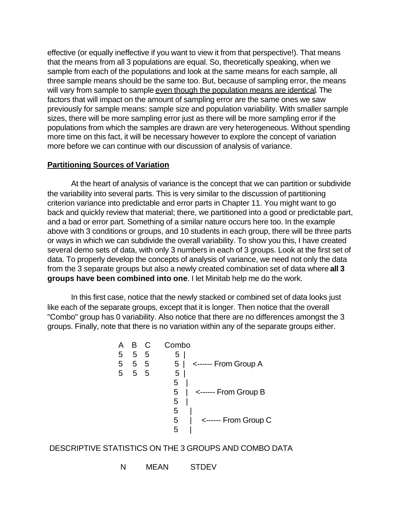effective (or equally ineffective if you want to view it from that perspective!). That means that the means from all 3 populations are equal. So, theoretically speaking, when we sample from each of the populations and look at the same means for each sample, all three sample means should be the same too. But, because of sampling error, the means will vary from sample to sample even though the population means are identical. The factors that will impact on the amount of sampling error are the same ones we saw previously for sample means: sample size and population variability. With smaller sample sizes, there will be more sampling error just as there will be more sampling error if the populations from which the samples are drawn are very heterogeneous. Without spending more time on this fact, it will be necessary however to explore the concept of variation more before we can continue with our discussion of analysis of variance.

## **Partitioning Sources of Variation**

At the heart of analysis of variance is the concept that we can partition or subdivide the variability into several parts. This is very similar to the discussion of partitioning criterion variance into predictable and error parts in Chapter 11. You might want to go back and quickly review that material; there, we partitioned into a good or predictable part, and a bad or error part. Something of a similar nature occurs here too. In the example above with 3 conditions or groups, and 10 students in each group, there will be three parts or ways in which we can subdivide the overall variability. To show you this, I have created several demo sets of data, with only 3 numbers in each of 3 groups. Look at the first set of data. To properly develop the concepts of analysis of variance, we need not only the data from the 3 separate groups but also a newly created combination set of data where **all 3 groups have been combined into one**. I let Minitab help me do the work.

In this first case, notice that the newly stacked or combined set of data looks just like each of the separate groups, except that it is longer. Then notice that the overall "Combo" group has 0 variability. Also notice that there are no differences amongst the 3 groups. Finally, note that there is no variation within any of the separate groups either.



# DESCRIPTIVE STATISTICS ON THE 3 GROUPS AND COMBO DATA

N MEAN STDEV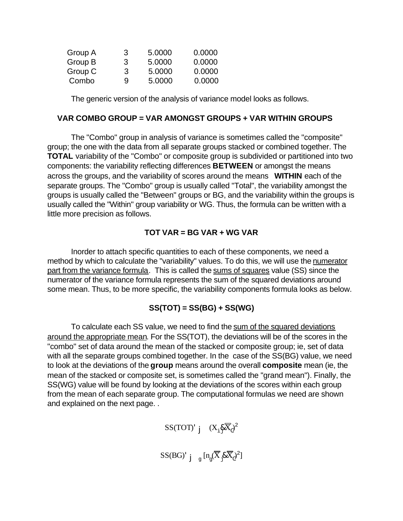| Group A | 3 | 5.0000 | 0.0000 |
|---------|---|--------|--------|
| Group B | 3 | 5.0000 | 0.0000 |
| Group C | 3 | 5.0000 | 0.0000 |
| Combo   | 9 | 5.0000 | 0.0000 |

The generic version of the analysis of variance model looks as follows.

## **VAR COMBO GROUP = VAR AMONGST GROUPS + VAR WITHIN GROUPS**

The "Combo" group in analysis of variance is sometimes called the "composite" group; the one with the data from all separate groups stacked or combined together. The **TOTAL** variability of the "Combo" or composite group is subdivided or partitioned into two components: the variability reflecting differences **BETWEEN** or amongst the means across the groups, and the variability of scores around the means **WITHIN** each of the separate groups. The "Combo" group is usually called "Total", the variability amongst the groups is usually called the "Between" groups or BG, and the variability within the groups is usually called the "Within" group variability or WG. Thus, the formula can be written with a little more precision as follows.

# **TOT VAR = BG VAR + WG VAR**

Inorder to attach specific quantities to each of these components, we need a method by which to calculate the "variability" values. To do this, we will use the numerator part from the variance formula. This is called the sums of squares value (SS) since the numerator of the variance formula represents the sum of the squared deviations around some mean. Thus, to be more specific, the variability components formula looks as below.

# **SS(TOT) = SS(BG) + SS(WG)**

To calculate each SS value, we need to find the sum of the squared deviations around the appropriate mean. For the SS(TOT), the deviations will be of the scores in the "combo" set of data around the mean of the stacked or composite group; ie, set of data with all the separate groups combined together. In the case of the SS(BG) value, we need to look at the deviations of the **group** means around the overall **composite** mean (ie, the mean of the stacked or composite set, is sometimes called the "grand mean"). Finally, the SS(WG) value will be found by looking at the deviations of the scores within each group from the mean of each separate group. The computational formulas we need are shown and explained on the next page. .

$$
SS(TOT)^{'}\ j \quad (X_{\underline{i}}\mathcal{K}_{\underline{c}})^{2}
$$

 $\mathrm{SS(BG)}^{\mathsf{L}}$ j<sub>g</sub> $\left[ n_{\cancel{g}} (\overline{\overline{X}}_{\cancel{g}} \& \overline{\overline{X}}_{\cancel{c}})^2 \right]$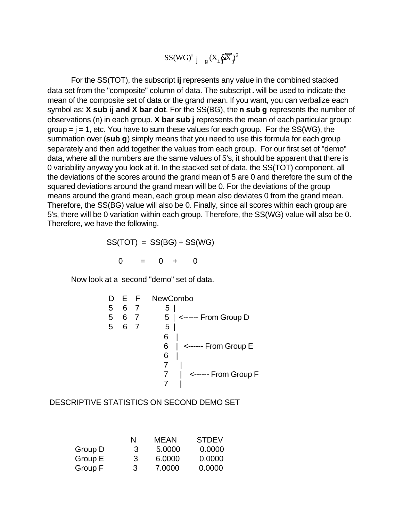$$
SS(WG)^{'}\ j_{\text{g}}(X_{\text{i}}\sqrt[8]{X})^2
$$

For the SS(TOT), the subscript **ij** represents any value in the combined stacked data set from the "composite" column of data. The subscript **.** will be used to indicate the mean of the composite set of data or the grand mean. If you want, you can verbalize each symbol as: **X sub ij and X bar dot**. For the SS(BG), the **n sub g** represents the number of observations (n) in each group. **X bar sub j** represents the mean of each particular group:  $group = j = 1$ , etc. You have to sum these values for each group. For the  $SS(WG)$ , the summation over (**sub g**) simply means that you need to use this formula for each group separately and then add together the values from each group. For our first set of "demo" data, where all the numbers are the same values of 5's, it should be apparent that there is 0 variability anyway you look at it. In the stacked set of data, the SS(TOT) component, all the deviations of the scores around the grand mean of 5 are 0 and therefore the sum of the squared deviations around the grand mean will be 0. For the deviations of the group means around the grand mean, each group mean also deviates 0 from the grand mean. Therefore, the SS(BG) value will also be 0. Finally, since all scores within each group are 5's, there will be 0 variation within each group. Therefore, the SS(WG) value will also be 0. Therefore, we have the following.

 $SS(TOT) = SS(BG) + SS(WG)$ 

 $0 = 0 + 0$ 

Now look at a second "demo" set of data.

| E F NewCombo              |                |   |   |  |
|---------------------------|----------------|---|---|--|
| 5                         | $\overline{7}$ | 6 | 5 |  |
| 5   <------ From Group D  | $\overline{7}$ | 6 | 5 |  |
| 5                         |                | 6 | 5 |  |
| 6                         |                |   |   |  |
| <------ From Group E<br>6 |                |   |   |  |
| 6                         |                |   |   |  |
|                           |                |   |   |  |
| <------ From Group F      |                |   |   |  |
|                           |                |   |   |  |

DESCRIPTIVE STATISTICS ON SECOND DEMO SET

|         | N | MEAN   | <b>STDEV</b> |
|---------|---|--------|--------------|
| Group D | З | 5.0000 | 0.0000       |
| Group E | 3 | 6.0000 | 0.0000       |
| Group F | 3 | 7.0000 | 0.0000       |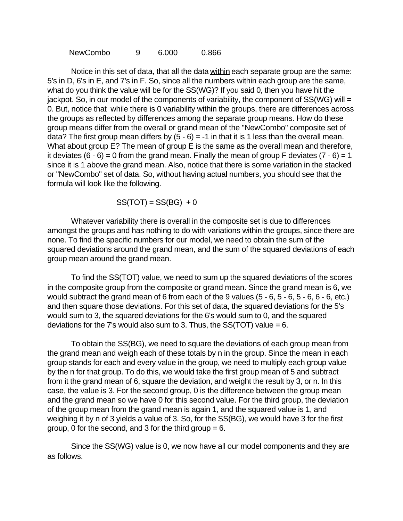NewCombo 9 6.000 0.866

Notice in this set of data, that all the data within each separate group are the same: 5's in D, 6's in E, and 7's in F. So, since all the numbers within each group are the same, what do you think the value will be for the SS(WG)? If you said 0, then you have hit the jackpot. So, in our model of the components of variability, the component of  $SS(WG)$  will = 0. But, notice that while there is 0 variability within the groups, there are differences across the groups as reflected by differences among the separate group means. How do these group means differ from the overall or grand mean of the "NewCombo" composite set of data? The first group mean differs by  $(5 - 6) = -1$  in that it is 1 less than the overall mean. What about group E? The mean of group E is the same as the overall mean and therefore, it deviates  $(6 - 6) = 0$  from the grand mean. Finally the mean of group F deviates  $(7 - 6) = 1$ since it is 1 above the grand mean. Also, notice that there is some variation in the stacked or "NewCombo" set of data. So, without having actual numbers, you should see that the formula will look like the following.

 $SS(TOT) = SS(BG) + 0$ 

Whatever variability there is overall in the composite set is due to differences amongst the groups and has nothing to do with variations within the groups, since there are none. To find the specific numbers for our model, we need to obtain the sum of the squared deviations around the grand mean, and the sum of the squared deviations of each group mean around the grand mean.

To find the SS(TOT) value, we need to sum up the squared deviations of the scores in the composite group from the composite or grand mean. Since the grand mean is 6, we would subtract the grand mean of 6 from each of the 9 values (5 - 6, 5 - 6, 5 - 6, 6 - 6, etc.) and then square those deviations. For this set of data, the squared deviations for the 5's would sum to 3, the squared deviations for the 6's would sum to 0, and the squared deviations for the 7's would also sum to 3. Thus, the  $SS(TOT)$  value = 6.

To obtain the SS(BG), we need to square the deviations of each group mean from the grand mean and weigh each of these totals by n in the group. Since the mean in each group stands for each and every value in the group, we need to multiply each group value by the n for that group. To do this, we would take the first group mean of 5 and subtract from it the grand mean of 6, square the deviation, and weight the result by 3, or n. In this case, the value is 3. For the second group, 0 is the difference between the group mean and the grand mean so we have 0 for this second value. For the third group, the deviation of the group mean from the grand mean is again 1, and the squared value is 1, and weighing it by n of 3 yields a value of 3. So, for the SS(BG), we would have 3 for the first group, 0 for the second, and 3 for the third group  $= 6$ .

Since the SS(WG) value is 0, we now have all our model components and they are as follows.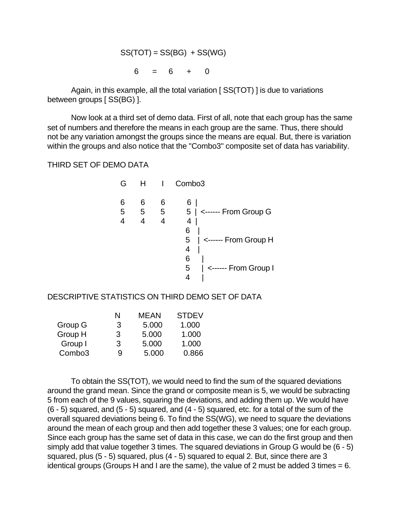$$
SS(TOT) = SS(BG) + SS(WG)
$$

$$
6 = 6 + 0
$$

Again, in this example, all the total variation [ SS(TOT) ] is due to variations between groups [ SS(BG) ].

Now look at a third set of demo data. First of all, note that each group has the same set of numbers and therefore the means in each group are the same. Thus, there should not be any variation amongst the groups since the means are equal. But, there is variation within the groups and also notice that the "Combo3" composite set of data has variability.

THIRD SET OF DEMO DATA

| G           | H           |             | Combo <sub>3</sub>                   |
|-------------|-------------|-------------|--------------------------------------|
| 6<br>5<br>4 | 6<br>5<br>4 | 6<br>5<br>4 | 6<br>$5$   <------ From Group G<br>4 |
|             |             |             | 6<br><------ From Group H<br>5<br>4  |
|             |             |             | 6<br><------ From Group I<br>5<br>4  |

DESCRIPTIVE STATISTICS ON THIRD DEMO SET OF DATA

|                    | N | <b>MEAN</b> | <b>STDEV</b> |
|--------------------|---|-------------|--------------|
| Group G            | 3 | 5.000       | 1.000        |
| Group H            | 3 | 5.000       | 1.000        |
| Group I            | 3 | 5.000       | 1.000        |
| Combo <sub>3</sub> | 9 | 5.000       | 0.866        |
|                    |   |             |              |

To obtain the SS(TOT), we would need to find the sum of the squared deviations around the grand mean. Since the grand or composite mean is 5, we would be subracting 5 from each of the 9 values, squaring the deviations, and adding them up. We would have (6 - 5) squared, and (5 - 5) squared, and (4 - 5) squared, etc. for a total of the sum of the overall squared deviations being 6. To find the SS(WG), we need to square the deviations around the mean of each group and then add together these 3 values; one for each group. Since each group has the same set of data in this case, we can do the first group and then simply add that value together 3 times. The squared deviations in Group G would be (6 - 5) squared, plus (5 - 5) squared, plus (4 - 5) squared to equal 2. But, since there are 3 identical groups (Groups H and I are the same), the value of 2 must be added 3 times  $= 6$ .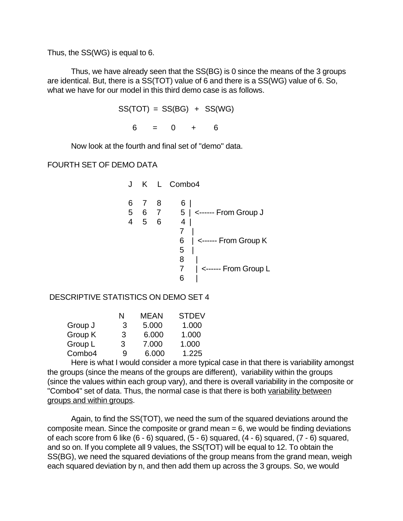Thus, the SS(WG) is equal to 6.

Thus, we have already seen that the SS(BG) is 0 since the means of the 3 groups are identical. But, there is a SS(TOT) value of 6 and there is a SS(WG) value of 6. So, what we have for our model in this third demo case is as follows.

```
SS(TOT) = SS(BG) + SS(WG)6 = 0 + 6
```
Now look at the fourth and final set of "demo" data.

FOURTH SET OF DEMO DATA

|   |                         |                | J K L Combo4                                                                                                                  |
|---|-------------------------|----------------|-------------------------------------------------------------------------------------------------------------------------------|
| 6 | $\overline{7}$<br>4 5 6 | 8 <sup>8</sup> | 6 <br>5 6 7 5   <------ From Group J<br>4<br>6<br>$\vert$ <------ From Group K<br>5<br>8<br>$\vert$ <------ From Group L<br>6 |
|   |                         |                |                                                                                                                               |

DESCRIPTIVE STATISTICS ON DEMO SET 4

|         | N | <b>MEAN</b> | <b>STDEV</b> |
|---------|---|-------------|--------------|
| Group J | 3 | 5.000       | 1.000        |
| Group K | 3 | 6.000       | 1.000        |
| Group L | 3 | 7.000       | 1.000        |
| Combo4  | 9 | 6.000       | 1.225        |
|         |   |             |              |

Here is what I would consider a more typical case in that there is variability amongst the groups (since the means of the groups are different), variability within the groups (since the values within each group vary), and there is overall variability in the composite or "Combo4" set of data. Thus, the normal case is that there is both variability between groups and within groups.

Again, to find the SS(TOT), we need the sum of the squared deviations around the composite mean. Since the composite or grand mean  $= 6$ , we would be finding deviations of each score from 6 like  $(6 - 6)$  squared,  $(5 - 6)$  squared,  $(4 - 6)$  squared,  $(7 - 6)$  squared, and so on. If you complete all 9 values, the SS(TOT) will be equal to 12. To obtain the SS(BG), we need the squared deviations of the group means from the grand mean, weigh each squared deviation by n, and then add them up across the 3 groups. So, we would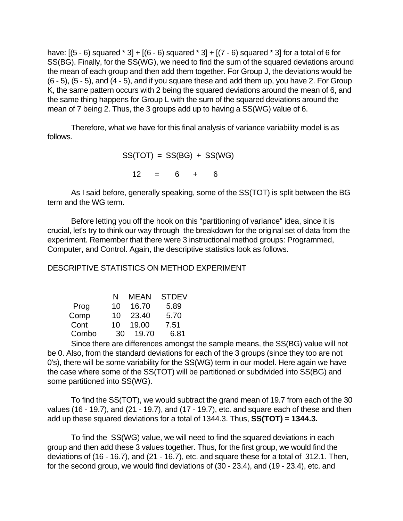have:  $[(5 - 6)$  squared  $* 3] + [(6 - 6)$  squared  $* 3] + [(7 - 6)$  squared  $* 3]$  for a total of 6 for SS(BG). Finally, for the SS(WG), we need to find the sum of the squared deviations around the mean of each group and then add them together. For Group J, the deviations would be (6 - 5), (5 - 5), and (4 - 5), and if you square these and add them up, you have 2. For Group K, the same pattern occurs with 2 being the squared deviations around the mean of 6, and the same thing happens for Group L with the sum of the squared deviations around the mean of 7 being 2. Thus, the 3 groups add up to having a SS(WG) value of 6.

Therefore, what we have for this final analysis of variance variability model is as follows.

> $SS(TOT) = SS(BG) + SS(WG)$  $12 = 6 + 6$

As I said before, generally speaking, some of the SS(TOT) is split between the BG term and the WG term.

Before letting you off the hook on this "partitioning of variance" idea, since it is crucial, let's try to think our way through the breakdown for the original set of data from the experiment. Remember that there were 3 instructional method groups: Programmed, Computer, and Control. Again, the descriptive statistics look as follows.

DESCRIPTIVE STATISTICS ON METHOD EXPERIMENT

|       | N  | MEAN  | <b>STDEV</b> |
|-------|----|-------|--------------|
| Prog  | 10 | 16.70 | 5.89         |
| Comp  | 10 | 23.40 | 5.70         |
| Cont  | 10 | 19.00 | 7.51         |
| Combo | 30 | 19.70 | 6.81         |

Since there are differences amongst the sample means, the SS(BG) value will not be 0. Also, from the standard deviations for each of the 3 groups (since they too are not 0's), there will be some variability for the SS(WG) term in our model. Here again we have the case where some of the SS(TOT) will be partitioned or subdivided into SS(BG) and some partitioned into SS(WG).

To find the SS(TOT), we would subtract the grand mean of 19.7 from each of the 30 values (16 - 19.7), and (21 - 19.7), and (17 - 19.7), etc. and square each of these and then add up these squared deviations for a total of 1344.3. Thus, **SS(TOT) = 1344.3.**

To find the SS(WG) value, we will need to find the squared deviations in each group and then add these 3 values together. Thus, for the first group, we would find the deviations of (16 - 16.7), and (21 - 16.7), etc. and square these for a total of 312.1. Then, for the second group, we would find deviations of (30 - 23.4), and (19 - 23.4), etc. and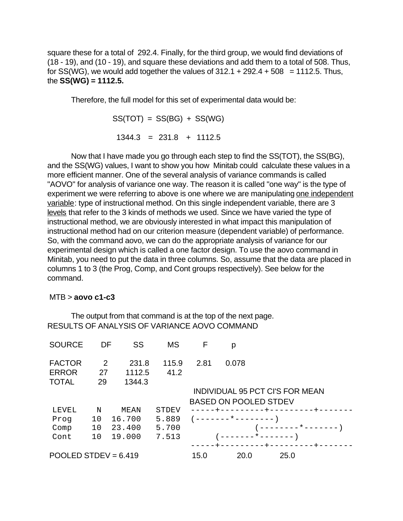square these for a total of 292.4. Finally, for the third group, we would find deviations of (18 - 19), and (10 - 19), and square these deviations and add them to a total of 508. Thus, for SS(WG), we would add together the values of  $312.1 + 292.4 + 508 = 1112.5$ . Thus, the **SS(WG) = 1112.5.**

Therefore, the full model for this set of experimental data would be:

 $SS(TOT) = SS(BG) + SS(WG)$ 

 $1344.3 = 231.8 + 1112.5$ 

Now that I have made you go through each step to find the SS(TOT), the SS(BG), and the SS(WG) values, I want to show you how Minitab could calculate these values in a more efficient manner. One of the several analysis of variance commands is called "AOVO" for analysis of variance one way. The reason it is called "one way" is the type of experiment we were referring to above is one where we are manipulating one independent variable: type of instructional method. On this single independent variable, there are 3 levels that refer to the 3 kinds of methods we used. Since we have varied the type of instructional method, we are obviously interested in what impact this manipulation of instructional method had on our criterion measure (dependent variable) of performance. So, with the command aovo, we can do the appropriate analysis of variance for our experimental design which is called a one factor design. To use the aovo command in Minitab, you need to put the data in three columns. So, assume that the data are placed in columns 1 to 3 (the Prog, Comp, and Cont groups respectively). See below for the command.

## MTB > **aovo c1-c3**

The output from that command is at the top of the next page. RESULTS OF ANALYSIS OF VARIANCE AOVO COMMAND

| <b>SOURCE</b>                                 | DF            | SS                        | <b>MS</b>     | F    | р                            |                                 |  |
|-----------------------------------------------|---------------|---------------------------|---------------|------|------------------------------|---------------------------------|--|
| <b>FACTOR</b><br><b>ERROR</b><br><b>TOTAL</b> | 2<br>27<br>29 | 231.8<br>1112.5<br>1344.3 | 115.9<br>41.2 | 2.81 | 0.078                        |                                 |  |
|                                               |               |                           |               |      |                              | INDIVIDUAL 95 PCT CI'S FOR MEAN |  |
|                                               |               |                           |               |      | <b>BASED ON POOLED STDEV</b> |                                 |  |
| LEVEL                                         | N             | MEAN                      | <b>STDEV</b>  |      | $+-$<br>------+--            |                                 |  |
| Prog                                          | 10            | 16.700                    | 5.889         |      | ( -------*-------- )         |                                 |  |
| Comp                                          | 10            | 23.400                    | 5.700         |      |                              | ________*_______)               |  |
| Cont                                          | 10            | 19.000                    | 7.513         |      | ______*_______)              |                                 |  |
|                                               |               |                           |               |      |                              |                                 |  |
| POOLED STDEV = $6.419$                        |               |                           |               | 15.0 | 20.0                         | 25.0                            |  |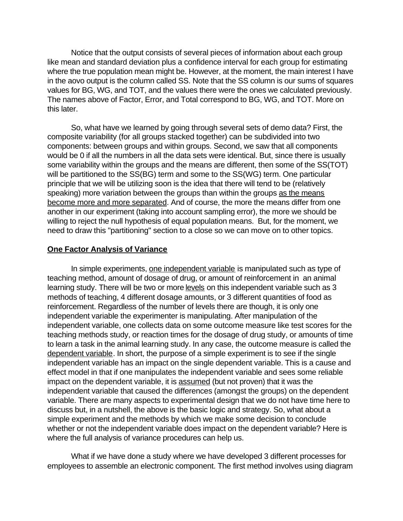Notice that the output consists of several pieces of information about each group like mean and standard deviation plus a confidence interval for each group for estimating where the true population mean might be. However, at the moment, the main interest I have in the aovo output is the column called SS. Note that the SS column is our sums of squares values for BG, WG, and TOT, and the values there were the ones we calculated previously. The names above of Factor, Error, and Total correspond to BG, WG, and TOT. More on this later.

So, what have we learned by going through several sets of demo data? First, the composite variability (for all groups stacked together) can be subdivided into two components: between groups and within groups. Second, we saw that all components would be 0 if all the numbers in all the data sets were identical. But, since there is usually some variability within the groups and the means are different, then some of the SS(TOT) will be partitioned to the SS(BG) term and some to the SS(WG) term. One particular principle that we will be utilizing soon is the idea that there will tend to be (relatively speaking) more variation between the groups than within the groups as the means become more and more separated. And of course, the more the means differ from one another in our experiment (taking into account sampling error), the more we should be willing to reject the null hypothesis of equal population means. But, for the moment, we need to draw this "partitioning" section to a close so we can move on to other topics.

#### **One Factor Analysis of Variance**

In simple experiments, one independent variable is manipulated such as type of teaching method, amount of dosage of drug, or amount of reinforcement in an animal learning study. There will be two or more levels on this independent variable such as 3 methods of teaching, 4 different dosage amounts, or 3 different quantities of food as reinforcement. Regardless of the number of levels there are though, it is only one independent variable the experimenter is manipulating. After manipulation of the independent variable, one collects data on some outcome measure like test scores for the teaching methods study, or reaction times for the dosage of drug study, or amounts of time to learn a task in the animal learning study. In any case, the outcome measure is called the dependent variable. In short, the purpose of a simple experiment is to see if the single independent variable has an impact on the single dependent variable. This is a cause and effect model in that if one manipulates the independent variable and sees some reliable impact on the dependent variable, it is assumed (but not proven) that it was the independent variable that caused the differences (amongst the groups) on the dependent variable. There are many aspects to experimental design that we do not have time here to discuss but, in a nutshell, the above is the basic logic and strategy. So, what about a simple experiment and the methods by which we make some decision to conclude whether or not the independent variable does impact on the dependent variable? Here is where the full analysis of variance procedures can help us.

What if we have done a study where we have developed 3 different processes for employees to assemble an electronic component. The first method involves using diagram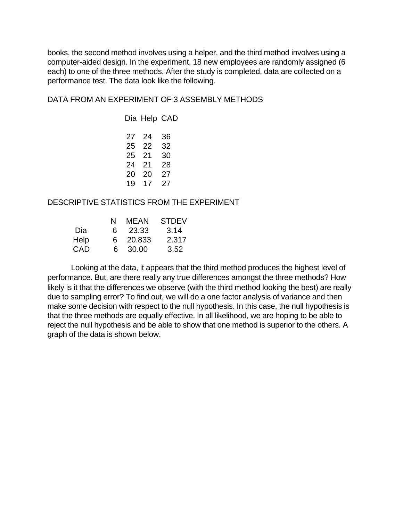books, the second method involves using a helper, and the third method involves using a computer-aided design. In the experiment, 18 new employees are randomly assigned (6 each) to one of the three methods. After the study is completed, data are collected on a performance test. The data look like the following.

DATA FROM AN EXPERIMENT OF 3 ASSEMBLY METHODS

## DESCRIPTIVE STATISTICS FROM THE EXPERIMENT

|      | N  | MEAN     | <b>STDEV</b> |
|------|----|----------|--------------|
| Dia  | 6. | - 23.33  | 3.14         |
| Help |    | 6 20.833 | 2.317        |
| CAD  |    | 6 30.00  | 3.52         |

Looking at the data, it appears that the third method produces the highest level of performance. But, are there really any true differences amongst the three methods? How likely is it that the differences we observe (with the third method looking the best) are really due to sampling error? To find out, we will do a one factor analysis of variance and then make some decision with respect to the null hypothesis. In this case, the null hypothesis is that the three methods are equally effective. In all likelihood, we are hoping to be able to reject the null hypothesis and be able to show that one method is superior to the others. A graph of the data is shown below.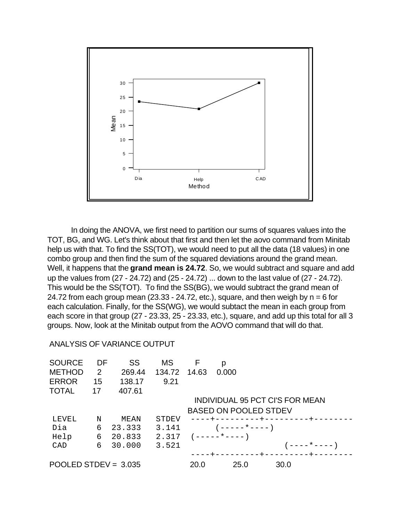

In doing the ANOVA, we first need to partition our sums of squares values into the TOT, BG, and WG. Let's think about that first and then let the aovo command from Minitab help us with that. To find the SS(TOT), we would need to put all the data (18 values) in one combo group and then find the sum of the squared deviations around the grand mean. Well, it happens that the **grand mean is 24.72**. So, we would subtract and square and add up the values from (27 - 24.72) and (25 - 24.72) ... down to the last value of (27 - 24.72). This would be the SS(TOT). To find the SS(BG), we would subtract the grand mean of 24.72 from each group mean (23.33 - 24.72, etc.), square, and then weigh by  $n = 6$  for each calculation. Finally, for the SS(WG), we would subtact the mean in each group from each score in that group (27 - 23.33, 25 - 23.33, etc.), square, and add up this total for all 3 groups. Now, look at the Minitab output from the AOVO command that will do that.

#### ANALYSIS OF VARIANCE OUTPUT

| <b>SOURCE</b>          | DF | SS     | <b>MS</b> | F     | р                            |                                 |              |  |
|------------------------|----|--------|-----------|-------|------------------------------|---------------------------------|--------------|--|
| <b>METHOD</b>          | 2  | 269.44 | 134.72    | 14.63 | 0.000                        |                                 |              |  |
| <b>ERROR</b>           | 15 | 138.17 | 9.21      |       |                              |                                 |              |  |
| <b>TOTAL</b>           | 17 | 407.61 |           |       |                              |                                 |              |  |
|                        |    |        |           |       |                              | INDIVIDUAL 95 PCT CI'S FOR MEAN |              |  |
|                        |    |        |           |       | <b>BASED ON POOLED STDEV</b> |                                 |              |  |
| LEVEL                  | N  | MEAN   | STDEV     |       |                              | ----+---------+--------+---     |              |  |
| Dia                    | 6  | 23.333 | 3.141     |       | $(----+---)$                 |                                 |              |  |
| Help                   | 6  | 20.833 | 2.317     |       | ( -----*---- )               |                                 |              |  |
| CAD                    | 6  | 30.000 | 3.521     |       |                              |                                 | $(----*---)$ |  |
|                        |    |        |           |       |                              | ----+---------+--------+----    |              |  |
| POOLED STDEV = $3.035$ |    |        | 20.0      | 25.0  | 30.0                         |                                 |              |  |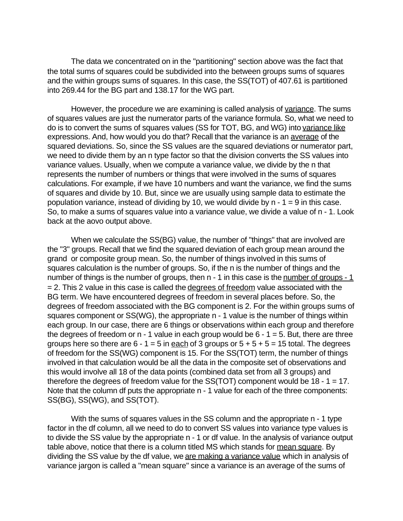The data we concentrated on in the "partitioning" section above was the fact that the total sums of squares could be subdivided into the between groups sums of squares and the within groups sums of squares. In this case, the SS(TOT) of 407.61 is partitioned into 269.44 for the BG part and 138.17 for the WG part.

However, the procedure we are examining is called analysis of variance. The sums of squares values are just the numerator parts of the variance formula. So, what we need to do is to convert the sums of squares values (SS for TOT, BG, and WG) into variance like expressions. And, how would you do that? Recall that the variance is an average of the squared deviations. So, since the SS values are the squared deviations or numerator part, we need to divide them by an n type factor so that the division converts the SS values into variance values. Usually, when we compute a variance value, we divide by the n that represents the number of numbers or things that were involved in the sums of squares calculations. For example, if we have 10 numbers and want the variance, we find the sums of squares and divide by 10. But, since we are usually using sample data to estimate the population variance, instead of dividing by 10, we would divide by  $n - 1 = 9$  in this case. So, to make a sums of squares value into a variance value, we divide a value of n - 1. Look back at the aovo output above.

When we calculate the SS(BG) value, the number of "things" that are involved are the "3" groups. Recall that we find the squared deviation of each group mean around the grand or composite group mean. So, the number of things involved in this sums of squares calculation is the number of groups. So, if the n is the number of things and the number of things is the number of groups, then  $n - 1$  in this case is the number of groups  $-1$ = 2. This 2 value in this case is called the degrees of freedom value associated with the BG term. We have encountered degrees of freedom in several places before. So, the degrees of freedom associated with the BG component is 2. For the within groups sums of squares component or SS(WG), the appropriate n - 1 value is the number of things within each group. In our case, there are 6 things or observations within each group and therefore the degrees of freedom or  $n - 1$  value in each group would be  $6 - 1 = 5$ . But, there are three groups here so there are  $6 - 1 = 5$  in each of 3 groups or  $5 + 5 + 5 = 15$  total. The degrees of freedom for the SS(WG) component is 15. For the SS(TOT) term, the number of things involved in that calculation would be all the data in the composite set of observations and this would involve all 18 of the data points (combined data set from all 3 groups) and therefore the degrees of freedom value for the  $SS(TOT)$  component would be  $18 - 1 = 17$ . Note that the column df puts the appropriate n - 1 value for each of the three components: SS(BG), SS(WG), and SS(TOT).

With the sums of squares values in the SS column and the appropriate n - 1 type factor in the df column, all we need to do to convert SS values into variance type values is to divide the SS value by the appropriate n - 1 or df value. In the analysis of variance output table above, notice that there is a column titled MS which stands for mean square. By dividing the SS value by the df value, we are making a variance value which in analysis of variance jargon is called a "mean square" since a variance is an average of the sums of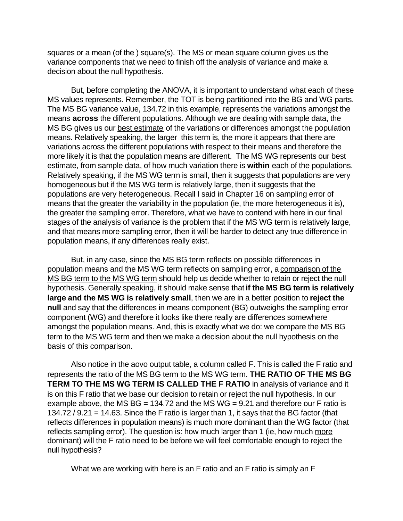squares or a mean (of the ) square(s). The MS or mean square column gives us the variance components that we need to finish off the analysis of variance and make a decision about the null hypothesis.

But, before completing the ANOVA, it is important to understand what each of these MS values represents. Remember, the TOT is being partitioned into the BG and WG parts. The MS BG variance value, 134.72 in this example, represents the variations amongst the means **across** the different populations. Although we are dealing with sample data, the MS BG gives us our best estimate of the variations or differences amongst the population means. Relatively speaking, the larger this term is, the more it appears that there are variations across the different populations with respect to their means and therefore the more likely it is that the population means are different. The MS WG represents our best estimate, from sample data, of how much variation there is **within** each of the populations. Relatively speaking, if the MS WG term is small, then it suggests that populations are very homogeneous but if the MS WG term is relatively large, then it suggests that the populations are very heterogeneous. Recall I said in Chapter 16 on sampling error of means that the greater the variability in the population (ie, the more heterogeneous it is), the greater the sampling error. Therefore, what we have to contend with here in our final stages of the analysis of variance is the problem that if the MS WG term is relatively large, and that means more sampling error, then it will be harder to detect any true difference in population means, if any differences really exist.

But, in any case, since the MS BG term reflects on possible differences in population means and the MS WG term reflects on sampling error, a comparison of the MS BG term to the MS WG term should help us decide whether to retain or reject the null hypothesis. Generally speaking, it should make sense that **if the MS BG term is relatively large and the MS WG is relatively small**, then we are in a better position to **reject the null** and say that the differences in means component (BG) outweighs the sampling error component (WG) and therefore it looks like there really are differences somewhere amongst the population means. And, this is exactly what we do: we compare the MS BG term to the MS WG term and then we make a decision about the null hypothesis on the basis of this comparison.

Also notice in the aovo output table, a column called F. This is called the F ratio and represents the ratio of the MS BG term to the MS WG term. **THE RATIO OF THE MS BG TERM TO THE MS WG TERM IS CALLED THE F RATIO** in analysis of variance and it is on this F ratio that we base our decision to retain or reject the null hypothesis. In our example above, the MS BG = 134.72 and the MS WG = 9.21 and therefore our F ratio is 134.72 / 9.21 = 14.63. Since the F ratio is larger than 1, it says that the BG factor (that reflects differences in population means) is much more dominant than the WG factor (that reflects sampling error). The question is: how much larger than 1 (ie, how much more dominant) will the F ratio need to be before we will feel comfortable enough to reject the null hypothesis?

What we are working with here is an F ratio and an F ratio is simply an F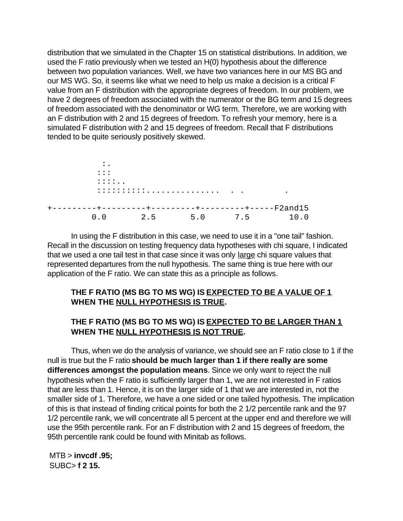distribution that we simulated in the Chapter 15 on statistical distributions. In addition, we used the F ratio previously when we tested an H(0) hypothesis about the difference between two population variances. Well, we have two variances here in our MS BG and our MS WG. So, it seems like what we need to help us make a decision is a critical F value from an F distribution with the appropriate degrees of freedom. In our problem, we have 2 degrees of freedom associated with the numerator or the BG term and 15 degrees of freedom associated with the denominator or WG term. Therefore, we are working with an F distribution with 2 and 15 degrees of freedom. To refresh your memory, here is a simulated F distribution with 2 and 15 degrees of freedom. Recall that F distributions tended to be quite seriously positively skewed.



In using the F distribution in this case, we need to use it in a "one tail" fashion. Recall in the discussion on testing frequency data hypotheses with chi square, I indicated that we used a one tail test in that case since it was only large chi square values that represented departures from the null hypothesis. The same thing is true here with our application of the F ratio. We can state this as a principle as follows.

# **THE F RATIO (MS BG TO MS WG) IS EXPECTED TO BE A VALUE OF 1 WHEN THE NULL HYPOTHESIS IS TRUE.**

# **THE F RATIO (MS BG TO MS WG) IS EXPECTED TO BE LARGER THAN 1 WHEN THE NULL HYPOTHESIS IS NOT TRUE.**

Thus, when we do the analysis of variance, we should see an F ratio close to 1 if the null is true but the F ratio **should be much larger than 1 if there really are some differences amongst the population means**. Since we only want to reject the null hypothesis when the F ratio is sufficiently larger than 1, we are not interested in F ratios that are less than 1. Hence, it is on the larger side of 1 that we are interested in, not the smaller side of 1. Therefore, we have a one sided or one tailed hypothesis. The implication of this is that instead of finding critical points for both the 2 1/2 percentile rank and the 97 1/2 percentile rank, we will concentrate all 5 percent at the upper end and therefore we will use the 95th percentile rank. For an F distribution with 2 and 15 degrees of freedom, the 95th percentile rank could be found with Minitab as follows.

 MTB > **invcdf .95;** SUBC> **f 2 15.**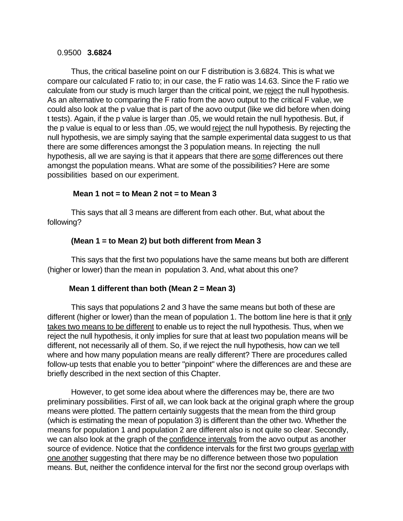## 0.9500 **3.6824**

Thus, the critical baseline point on our F distribution is 3.6824. This is what we compare our calculated F ratio to; in our case, the F ratio was 14.63. Since the F ratio we calculate from our study is much larger than the critical point, we reject the null hypothesis. As an alternative to comparing the F ratio from the aovo output to the critical F value, we could also look at the p value that is part of the aovo output (like we did before when doing t tests). Again, if the p value is larger than .05, we would retain the null hypothesis. But, if the p value is equal to or less than .05, we would reject the null hypothesis. By rejecting the null hypothesis, we are simply saying that the sample experimental data suggest to us that there are some differences amongst the 3 population means. In rejecting the null hypothesis, all we are saying is that it appears that there are some differences out there amongst the population means. What are some of the possibilities? Here are some possibilities based on our experiment.

# **Mean 1 not = to Mean 2 not = to Mean 3**

This says that all 3 means are different from each other. But, what about the following?

# **(Mean 1 = to Mean 2) but both different from Mean 3**

This says that the first two populations have the same means but both are different (higher or lower) than the mean in population 3. And, what about this one?

# **Mean 1 different than both (Mean 2 = Mean 3)**

This says that populations 2 and 3 have the same means but both of these are different (higher or lower) than the mean of population 1. The bottom line here is that it only takes two means to be different to enable us to reject the null hypothesis. Thus, when we reject the null hypothesis, it only implies for sure that at least two population means will be different, not necessarily all of them. So, if we reject the null hypothesis, how can we tell where and how many population means are really different? There are procedures called follow-up tests that enable you to better "pinpoint" where the differences are and these are briefly described in the next section of this Chapter.

However, to get some idea about where the differences may be, there are two preliminary possibilities. First of all, we can look back at the original graph where the group means were plotted. The pattern certainly suggests that the mean from the third group (which is estimating the mean of population 3) is different than the other two. Whether the means for population 1 and population 2 are different also is not quite so clear. Secondly, we can also look at the graph of the confidence intervals from the aovo output as another source of evidence. Notice that the confidence intervals for the first two groups overlap with one another suggesting that there may be no difference between those two population means. But, neither the confidence interval for the first nor the second group overlaps with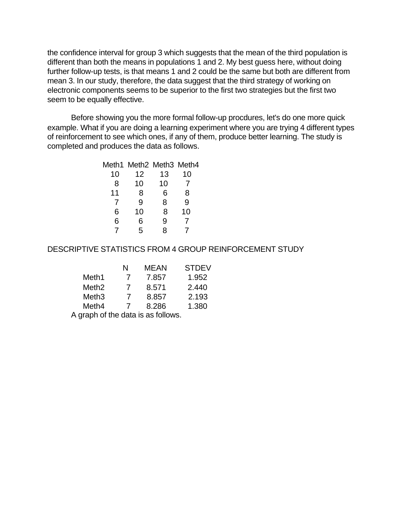the confidence interval for group 3 which suggests that the mean of the third population is different than both the means in populations 1 and 2. My best guess here, without doing further follow-up tests, is that means 1 and 2 could be the same but both are different from mean 3. In our study, therefore, the data suggest that the third strategy of working on electronic components seems to be superior to the first two strategies but the first two seem to be equally effective.

Before showing you the more formal follow-up procdures, let's do one more quick example. What if you are doing a learning experiment where you are trying 4 different types of reinforcement to see which ones, if any of them, produce better learning. The study is completed and produces the data as follows.

|    | Meth1 Meth2 Meth3 Meth4 |    |    |
|----|-------------------------|----|----|
| 10 | 12                      | 13 | 10 |
| 8  | 10                      | 10 |    |
| 11 | 8                       | 6  | 8  |
|    | 9                       | 8  | 9  |
| 6  | 10                      | 8  | 10 |
| 6  | 6                       | 9  |    |
|    | 5                       | 8  |    |
|    |                         |    |    |

## DESCRIPTIVE STATISTICS FROM 4 GROUP REINFORCEMENT STUDY

|                   | N | MFAN  | <b>STDEV</b> |
|-------------------|---|-------|--------------|
| Meth1             |   | 7.857 | 1.952        |
| Meth <sub>2</sub> |   | 8.571 | 2.440        |
| Meth <sub>3</sub> |   | 8.857 | 2.193        |
| Meth4             |   | 8.286 | 1.380        |

A graph of the data is as follows.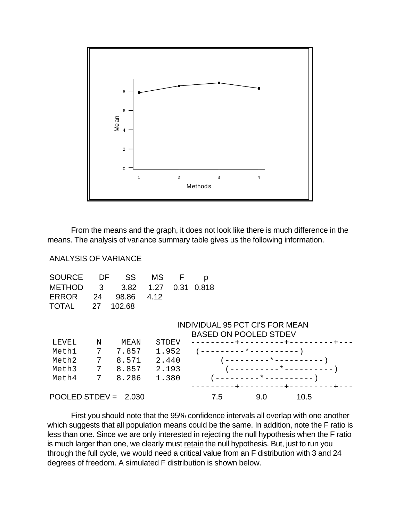

From the means and the graph, it does not look like there is much difference in the means. The analysis of variance summary table gives us the following information.

## ANALYSIS OF VARIANCE

| SOURCE DF SS MS F p           |  |  |  |
|-------------------------------|--|--|--|
| METHOD 3 3.82 1.27 0.31 0.818 |  |  |  |
| ERROR 24 98.86 4.12           |  |  |  |
| TOTAL 27 102.68               |  |  |  |

#### INDIVIDUAL 95 PCT CI'S FOR MEAN BASED ON POOLED STDEV

|                        |   |       |       | DASED UN PUULED STDEV    |
|------------------------|---|-------|-------|--------------------------|
| LEVEL                  | N | MEAN  | STDEV |                          |
| Meth1                  |   | 7.857 | 1.952 | _________*__________     |
| Meth2                  |   | 8.571 | 2.440 | ( _________*__________   |
| Meth3                  |   | 8.857 | 2.193 |                          |
| Meth4                  |   | 8.286 | 1.380 | ( ---------*---------- ) |
|                        |   |       |       |                          |
| POOLED STDEV = $2.030$ |   |       |       | 10.5<br>9.0<br>7.5       |

First you should note that the 95% confidence intervals all overlap with one another which suggests that all population means could be the same. In addition, note the F ratio is less than one. Since we are only interested in rejecting the null hypothesis when the F ratio is much larger than one, we clearly must retain the null hypothesis. But, just to run you through the full cycle, we would need a critical value from an F distribution with 3 and 24 degrees of freedom. A simulated F distribution is shown below.